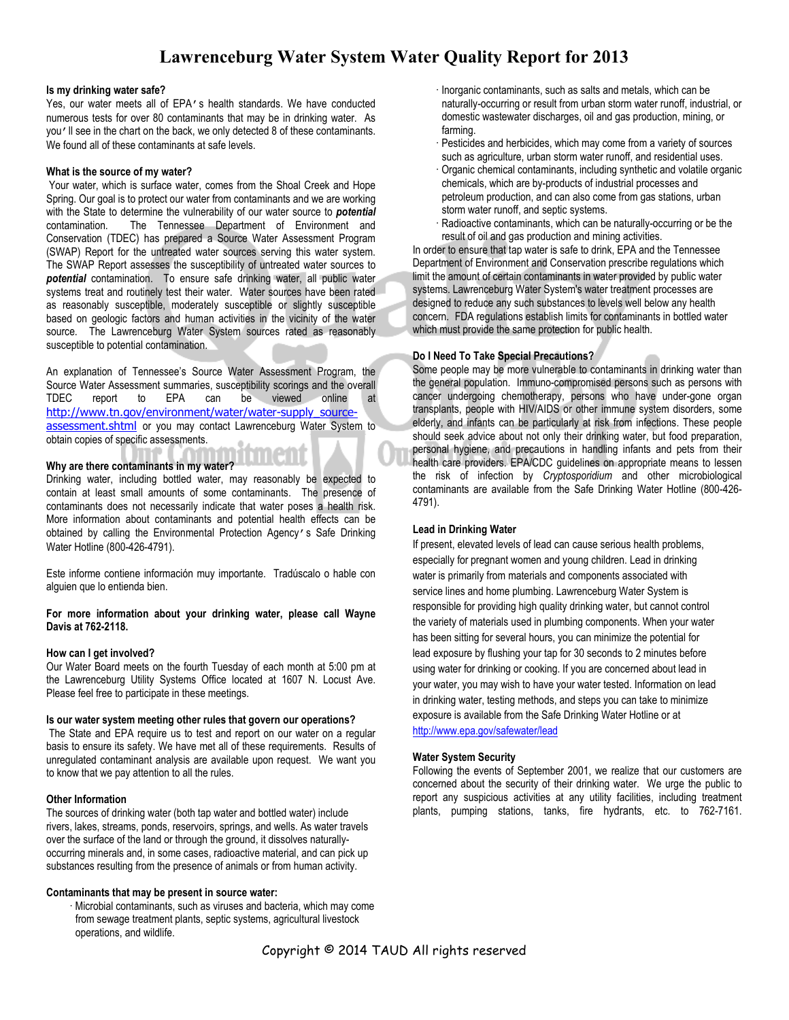## **Lawrenceburg Water System Water Quality Report for 2013**

#### **Is my drinking water safe?**

Yes, our water meets all of EPA's health standards. We have conducted numerous tests for over 80 contaminants that may be in drinking water. As you'll see in the chart on the back, we only detected 8 of these contaminants. We found all of these contaminants at safe levels.

#### **What is the source of my water?**

 Your water, which is surface water, comes from the Shoal Creek and Hope Spring. Our goal is to protect our water from contaminants and we are working with the State to determine the vulnerability of our water source to **potential**<br>contamination. The Tennessee Department of Environment and The Tennessee Department of Environment and Conservation (TDEC) has prepared a Source Water Assessment Program (SWAP) Report for the untreated water sources serving this water system. The SWAP Report assesses the susceptibility of untreated water sources to *potential* contamination. To ensure safe drinking water, all public water systems treat and routinely test their water. Water sources have been rated as reasonably susceptible, moderately susceptible or slightly susceptible based on geologic factors and human activities in the vicinity of the water source. The Lawrenceburg Water System sources rated as reasonably susceptible to potential contamination.

An explanation of Tennessee's Source Water Assessment Program, the Source Water Assessment summaries, susceptibility scorings and the overall<br>TDEC report to EPA can be viewed online at report to EPA can be viewed online at http://www.tn.gov/environment/water/water-supply\_sourceassessment.shtml or you may contact Lawrenceburg Water System to obtain copies of specific assessments.

#### **Why are there contaminants in my water?**

Drinking water, including bottled water, may reasonably be expected to contain at least small amounts of some contaminants. The presence of contaminants does not necessarily indicate that water poses a health risk. More information about contaminants and potential health effects can be obtained by calling the Environmental Protection Agency's Safe Drinking Water Hotline (800-426-4791).

Este informe contiene información muy importante. Tradúscalo o hable con alguien que lo entienda bien.

#### **For more information about your drinking water, please call Wayne Davis at 762-2118.**

#### **How can I get involved?**

Our Water Board meets on the fourth Tuesday of each month at 5:00 pm at the Lawrenceburg Utility Systems Office located at 1607 N. Locust Ave. Please feel free to participate in these meetings.

#### **Is our water system meeting other rules that govern our operations?**

 The State and EPA require us to test and report on our water on a regular basis to ensure its safety. We have met all of these requirements. Results of unregulated contaminant analysis are available upon request. We want you to know that we pay attention to all the rules.

#### **Other Information**

The sources of drinking water (both tap water and bottled water) include rivers, lakes, streams, ponds, reservoirs, springs, and wells. As water travels over the surface of the land or through the ground, it dissolves naturallyoccurring minerals and, in some cases, radioactive material, and can pick up substances resulting from the presence of animals or from human activity.

#### **Contaminants that may be present in source water:**

 Microbial contaminants, such as viruses and bacteria, which may come from sewage treatment plants, septic systems, agricultural livestock operations, and wildlife.

- Inorganic contaminants, such as salts and metals, which can be naturally-occurring or result from urban storm water runoff, industrial, or domestic wastewater discharges, oil and gas production, mining, or farming.
- Pesticides and herbicides, which may come from a variety of sources such as agriculture, urban storm water runoff, and residential uses.
- Organic chemical contaminants, including synthetic and volatile organic chemicals, which are by-products of industrial processes and petroleum production, and can also come from gas stations, urban storm water runoff, and septic systems.
- Radioactive contaminants, which can be naturally-occurring or be the result of oil and gas production and mining activities.

In order to ensure that tap water is safe to drink, EPA and the Tennessee Department of Environment and Conservation prescribe regulations which limit the amount of certain contaminants in water provided by public water systems. Lawrenceburg Water System's water treatment processes are designed to reduce any such substances to levels well below any health concern. FDA regulations establish limits for contaminants in bottled water which must provide the same protection for public health.

#### **Do I Need To Take Special Precautions?**

Some people may be more vulnerable to contaminants in drinking water than the general population. Immuno-compromised persons such as persons with cancer undergoing chemotherapy, persons who have under-gone organ transplants, people with HIV/AIDS or other immune system disorders, some elderly, and infants can be particularly at risk from infections. These people should seek advice about not only their drinking water, but food preparation, personal hygiene, and precautions in handling infants and pets from their health care providers. EPA/CDC guidelines on appropriate means to lessen the risk of infection by *Cryptosporidium* and other microbiological contaminants are available from the Safe Drinking Water Hotline (800-426- 4791).

#### **Lead in Drinking Water**

If present, elevated levels of lead can cause serious health problems, especially for pregnant women and young children. Lead in drinking water is primarily from materials and components associated with service lines and home plumbing. Lawrenceburg Water System is responsible for providing high quality drinking water, but cannot control the variety of materials used in plumbing components. When your water has been sitting for several hours, you can minimize the potential for lead exposure by flushing your tap for 30 seconds to 2 minutes before using water for drinking or cooking. If you are concerned about lead in your water, you may wish to have your water tested. Information on lead in drinking water, testing methods, and steps you can take to minimize exposure is available from the Safe Drinking Water Hotline or at http://www.epa.gov/safewater/lead

#### **Water System Security**

Following the events of September 2001, we realize that our customers are concerned about the security of their drinking water. We urge the public to report any suspicious activities at any utility facilities, including treatment plants, pumping stations, tanks, fire hydrants, etc. to 762-7161.